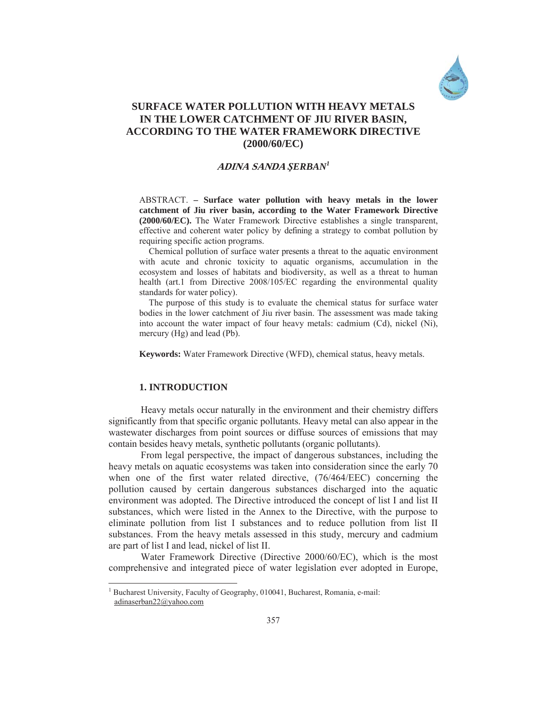

# **SURFACE WATER POLLUTION WITH HEAVY METALS IN THE LOWER CATCHMENT OF JIU RIVER BASIN, ACCORDING TO THE WATER FRAMEWORK DIRECTIVE (2000/60/EC)**

## **ADINA SANDA** *ùERBAN1*

ABSTRACT. **– Surface water pollution with heavy metals in the lower catchment of Jiu river basin, according to the Water Framework Directive (2000/60/EC).** The Water Framework Directive establishes a single transparent, effective and coherent water policy by defining a strategy to combat pollution by requiring specific action programs.

Chemical pollution of surface water presents a threat to the aquatic environment with acute and chronic toxicity to aquatic organisms, accumulation in the ecosystem and losses of habitats and biodiversity, as well as a threat to human health (art.1 from Directive 2008/105/EC regarding the environmental quality standards for water policy).

The purpose of this study is to evaluate the chemical status for surface water bodies in the lower catchment of Jiu river basin. The assessment was made taking into account the water impact of four heavy metals: cadmium (Cd), nickel (Ni), mercury (Hg) and lead (Pb).

**Keywords:** Water Framework Directive (WFD), chemical status, heavy metals.

## **1. INTRODUCTION**

 $\overline{a}$ 

Heavy metals occur naturally in the environment and their chemistry differs significantly from that specific organic pollutants. Heavy metal can also appear in the wastewater discharges from point sources or diffuse sources of emissions that may contain besides heavy metals, synthetic pollutants (organic pollutants).

From legal perspective, the impact of dangerous substances, including the heavy metals on aquatic ecosystems was taken into consideration since the early 70 when one of the first water related directive, (76/464/EEC) concerning the pollution caused by certain dangerous substances discharged into the aquatic environment was adopted. The Directive introduced the concept of list I and list II substances, which were listed in the Annex to the Directive, with the purpose to eliminate pollution from list I substances and to reduce pollution from list II substances. From the heavy metals assessed in this study, mercury and cadmium are part of list I and lead, nickel of list II.

Water Framework Directive (Directive 2000/60/EC), which is the most comprehensive and integrated piece of water legislation ever adopted in Europe,

<sup>1</sup> Bucharest University, Faculty of Geography, 010041, Bucharest, Romania, e-mail: adinaserban22@yahoo.com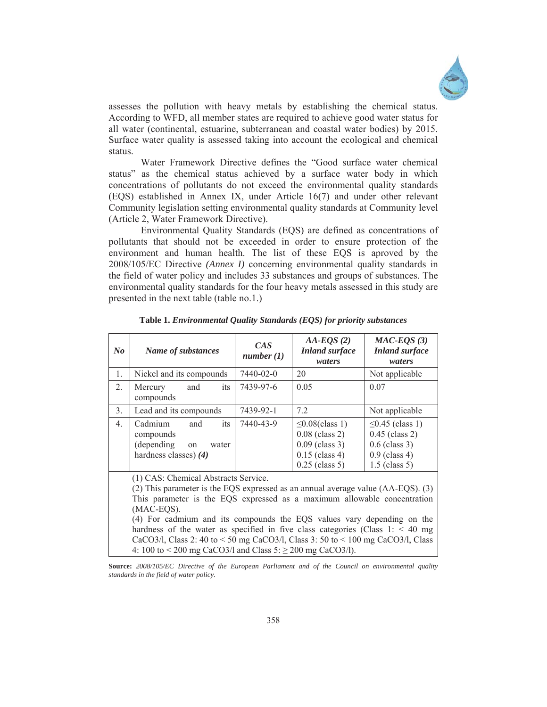

assesses the pollution with heavy metals by establishing the chemical status. According to WFD, all member states are required to achieve good water status for all water (continental, estuarine, subterranean and coastal water bodies) by 2015. Surface water quality is assessed taking into account the ecological and chemical status.

 Water Framework Directive defines the "Good surface water chemical status" as the chemical status achieved by a surface water body in which concentrations of pollutants do not exceed the environmental quality standards (EQS) established in Annex IX, under Article 16(7) and under other relevant Community legislation setting environmental quality standards at Community level (Article 2, Water Framework Directive).

 Environmental Quality Standards (EQS) are defined as concentrations of pollutants that should not be exceeded in order to ensure protection of the environment and human health. The list of these EQS is aproved by the 2008/105/EC Directive *(Annex I)* concerning environmental quality standards in the field of water policy and includes 33 substances and groups of substances. The environmental quality standards for the four heavy metals assessed in this study are presented in the next table (table no.1.)

| $N_{0}$        | Name of substances                                                                                                                                                                                                                                                                                                                                                                                                                                                                                                                      | CAS<br>number(1) | $AA-EQS(2)$<br><b>Inland surface</b><br>waters                                                        | $MAC-EQS(3)$<br><b>Inland surface</b><br>waters                                                    |  |  |  |  |
|----------------|-----------------------------------------------------------------------------------------------------------------------------------------------------------------------------------------------------------------------------------------------------------------------------------------------------------------------------------------------------------------------------------------------------------------------------------------------------------------------------------------------------------------------------------------|------------------|-------------------------------------------------------------------------------------------------------|----------------------------------------------------------------------------------------------------|--|--|--|--|
| 1.             | Nickel and its compounds                                                                                                                                                                                                                                                                                                                                                                                                                                                                                                                | 7440-02-0        | 20                                                                                                    | Not applicable                                                                                     |  |  |  |  |
| 2.             | Mercury<br>and<br>its<br>compounds                                                                                                                                                                                                                                                                                                                                                                                                                                                                                                      | 7439-97-6        | 0.05                                                                                                  | 0.07                                                                                               |  |  |  |  |
| 3.             | Lead and its compounds                                                                                                                                                                                                                                                                                                                                                                                                                                                                                                                  | 7439-92-1        | 7.2                                                                                                   | Not applicable                                                                                     |  |  |  |  |
| 4 <sub>1</sub> | Cadmium<br>and<br>its<br>compounds<br>(depending<br>water<br>on<br>hardness classes) $(4)$                                                                                                                                                                                                                                                                                                                                                                                                                                              | 7440-43-9        | $\leq 0.08$ (class 1)<br>$0.08$ (class 2)<br>$0.09$ (class 3)<br>$0.15$ (class 4)<br>$0.25$ (class 5) | $\leq$ 0.45 (class 1)<br>$0.45$ (class 2)<br>$0.6$ (class 3)<br>$0.9$ (class 4)<br>$1.5$ (class 5) |  |  |  |  |
|                | (1) CAS: Chemical Abstracts Service.<br>(2) This parameter is the EQS expressed as an annual average value $(AA-EQS)$ . (3)<br>This parameter is the EQS expressed as a maximum allowable concentration<br>(MAC-EQS).<br>(4) For cadmium and its compounds the EQS values vary depending on the<br>hardness of the water as specified in five class categories (Class $1:$ < 40 mg<br>CaCO3/l, Class 2: 40 to < 50 mg CaCO3/l, Class 3: 50 to < 100 mg CaCO3/l, Class<br>4: 100 to < 200 mg CaCO3/l and Class $5: \ge 200$ mg CaCO3/l). |                  |                                                                                                       |                                                                                                    |  |  |  |  |

**Table 1.** *Environmental Quality Standards (EQS) for priority substances* 

**Source:** *2008/105/EC Directive of the European Parliament and of the Council on environmental quality standards in the field of water policy.*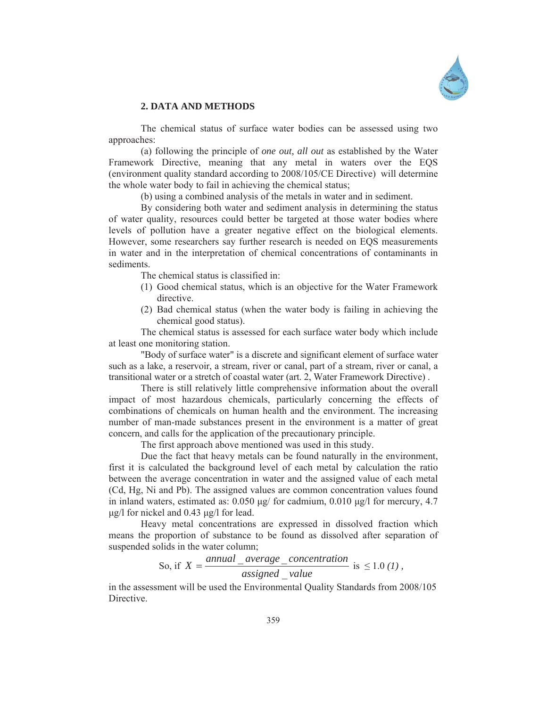

### **2. DATA AND METHODS**

The chemical status of surface water bodies can be assessed using two approaches:

(a) following the principle of *one out, all out* as established by the Water Framework Directive, meaning that any metal in waters over the EQS (environment quality standard according to 2008/105/CE Directive) will determine the whole water body to fail in achieving the chemical status;

(b) using a combined analysis of the metals in water and in sediment.

By considering both water and sediment analysis in determining the status of water quality, resources could better be targeted at those water bodies where levels of pollution have a greater negative effect on the biological elements. However, some researchers say further research is needed on EQS measurements in water and in the interpretation of chemical concentrations of contaminants in sediments.

The chemical status is classified in:

- (1) Good chemical status, which is an objective for the Water Framework directive.
- (2) Bad chemical status (when the water body is failing in achieving the chemical good status).

The chemical status is assessed for each surface water body which include at least one monitoring station.

"Body of surface water" is a discrete and significant element of surface water such as a lake, a reservoir, a stream, river or canal, part of a stream, river or canal, a transitional water or a stretch of coastal water (art. 2, Water Framework Directive) .

There is still relatively little comprehensive information about the overall impact of most hazardous chemicals, particularly concerning the effects of combinations of chemicals on human health and the environment. The increasing number of man-made substances present in the environment is a matter of great concern, and calls for the application of the precautionary principle.

The first approach above mentioned was used in this study.

Due the fact that heavy metals can be found naturally in the environment, first it is calculated the background level of each metal by calculation the ratio between the average concentration in water and the assigned value of each metal (Cd, Hg, Ni and Pb). The assigned values are common concentration values found in inland waters, estimated as:  $0.050 \mu g$  for cadmium,  $0.010 \mu g$  for mercury, 4.7  $\mu$ g/l for nickel and 0.43  $\mu$ g/l for lead.

Heavy metal concentrations are expressed in dissolved fraction which means the proportion of substance to be found as dissolved after separation of suspended solids in the water column;

So, if 
$$
X = \frac{annual\_average\_concentration}{assigned\_value}
$$
 is  $\leq 1.0$  (1).

in the assessment will be used the Environmental Quality Standards from 2008/105 Directive.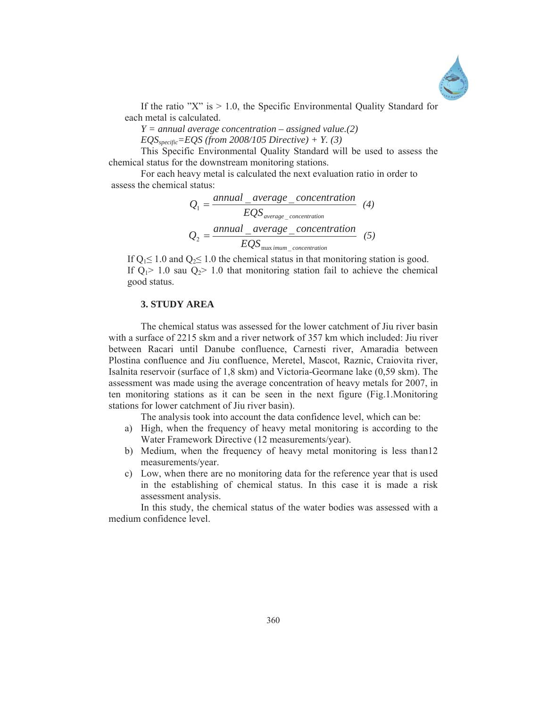

If the ratio "X" is  $> 1.0$ , the Specific Environmental Quality Standard for each metal is calculated.

*Y = annual average concentration – assigned value.(2)* 

*EQSspecific=EQS (from 2008/105 Directive) + Y. (3)*

This Specific Environmental Quality Standard will be used to assess the chemical status for the downstream monitoring stations.

For each heavy metal is calculated the next evaluation ratio in order to assess the chemical status:

$$
Q_1 = \frac{annual\_average\_concentration}{EQS_{average\_concentration}} \quad (4)
$$
\n
$$
Q_2 = \frac{annual\_average\_concentration}{EQS_{max\,imum-concentration}} \quad (5)
$$

If  $Q_1 \le 1.0$  and  $Q_2 \le 1.0$  the chemical status in that monitoring station is good. If  $Q_1 > 1.0$  sau  $Q_2 > 1.0$  that monitoring station fail to achieve the chemical good status.

### **3. STUDY AREA**

 The chemical status was assessed for the lower catchment of Jiu river basin with a surface of 2215 skm and a river network of 357 km which included: Jiu river between Racari until Danube confluence, Carnesti river, Amaradia between Plostina confluence and Jiu confluence, Meretel, Mascot, Raznic, Craiovita river, Isalnita reservoir (surface of 1,8 skm) and Victoria-Geormane lake (0,59 skm). The assessment was made using the average concentration of heavy metals for 2007, in ten monitoring stations as it can be seen in the next figure (Fig.1.Monitoring stations for lower catchment of Jiu river basin).

The analysis took into account the data confidence level, which can be:

- a) High, when the frequency of heavy metal monitoring is according to the Water Framework Directive (12 measurements/year).
- b) Medium, when the frequency of heavy metal monitoring is less than12 measurements/year.
- c) Low, when there are no monitoring data for the reference year that is used in the establishing of chemical status. In this case it is made a risk assessment analysis.

In this study, the chemical status of the water bodies was assessed with a medium confidence level.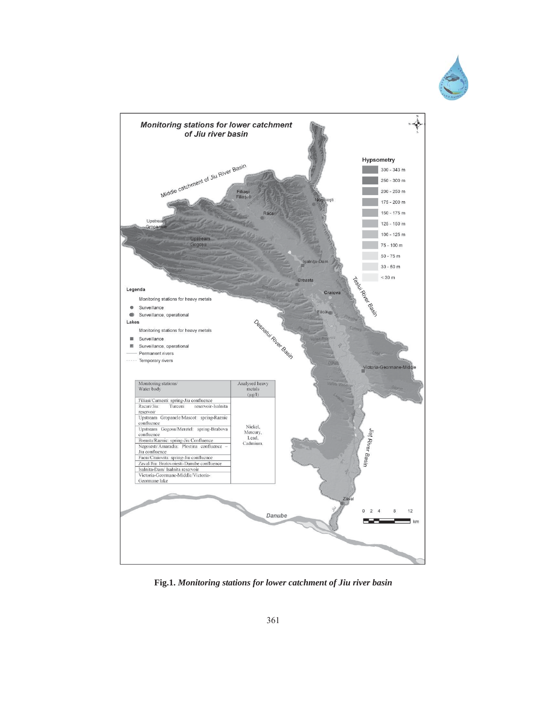



**Fig.1.** *Monitoring stations for lower catchment of Jiu river basin*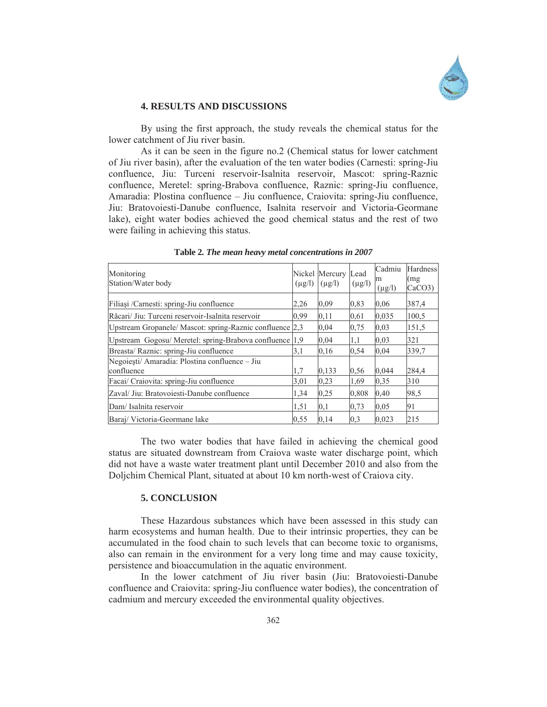

#### **4. RESULTS AND DISCUSSIONS**

By using the first approach, the study reveals the chemical status for the lower catchment of Jiu river basin.

As it can be seen in the figure no.2 (Chemical status for lower catchment of Jiu river basin), after the evaluation of the ten water bodies (Carnesti: spring-Jiu confluence, Jiu: Turceni reservoir-Isalnita reservoir, Mascot: spring-Raznic confluence, Meretel: spring-Brabova confluence, Raznic: spring-Jiu confluence, Amaradia: Plostina confluence – Jiu confluence, Craiovita: spring-Jiu confluence, Jiu: Bratovoiesti-Danube confluence, Isalnita reservoir and Victoria-Geormane lake), eight water bodies achieved the good chemical status and the rest of two were failing in achieving this status.

| Monitoring<br>Station/Water body                             | $(\mu g/l)$ | Nickel Mercury Lead<br>$(\mu$ g/l) | $(\mu g/l)$ | Cadmiu<br>m<br>$(\mu g/l)$ | Hardness<br>(mg<br>CaCO3 |
|--------------------------------------------------------------|-------------|------------------------------------|-------------|----------------------------|--------------------------|
| Filiași /Carnesti: spring-Jiu confluence                     | 2,26        | 0.09                               | 0,83        | 0.06                       | 387,4                    |
| Răcari/ Jiu: Turceni reservoir-Isalnita reservoir            | 0.99        | 0,11                               | 0,61        | 0,035                      | 100.5                    |
| Upstream Gropanele/ Mascot: spring-Raznic confluence 2,3     |             | 0,04                               | 0.75        | 0,03                       | 151.5                    |
| Upstream Gogosu/Meretel: spring-Brabova confluence           |             | 0,04                               | 1,1         | 0.03                       | 321                      |
| Breasta/ Raznic: spring-Jiu confluence                       | 3,1         | 0,16                               | 0,54        | 0,04                       | 339.7                    |
| Negoiești/ Amaradia: Plostina confluence - Jiu<br>confluence | 1,7         | 0.133                              | 0,56        | 0,044                      | 284,4                    |
| Facai/ Craiovita: spring-Jiu confluence                      | 3,01        | 0.23                               | 1.69        | 0,35                       | 310                      |
| Zaval/ Jiu: Bratovoiesti-Danube confluence                   |             | 0,25                               | 0,808       | 0,40                       | 98,5                     |
| Dam/Isalnita reservoir                                       |             | 0,1                                | 0.73        | 0.05                       | 91                       |
| 0,55<br>Baraj/Victoria-Geormane lake                         |             | 0,14                               | 0,3         | 0.023                      | 215                      |

**Table 2***. The mean heavy metal concentrations in 2007* 

The two water bodies that have failed in achieving the chemical good status are situated downstream from Craiova waste water discharge point, which did not have a waste water treatment plant until December 2010 and also from the Doljchim Chemical Plant, situated at about 10 km north-west of Craiova city.

#### **5. CONCLUSION**

These Hazardous substances which have been assessed in this study can harm ecosystems and human health. Due to their intrinsic properties, they can be accumulated in the food chain to such levels that can become toxic to organisms, also can remain in the environment for a very long time and may cause toxicity, persistence and bioaccumulation in the aquatic environment.

In the lower catchment of Jiu river basin (Jiu: Bratovoiesti-Danube confluence and Craiovita: spring-Jiu confluence water bodies), the concentration of cadmium and mercury exceeded the environmental quality objectives.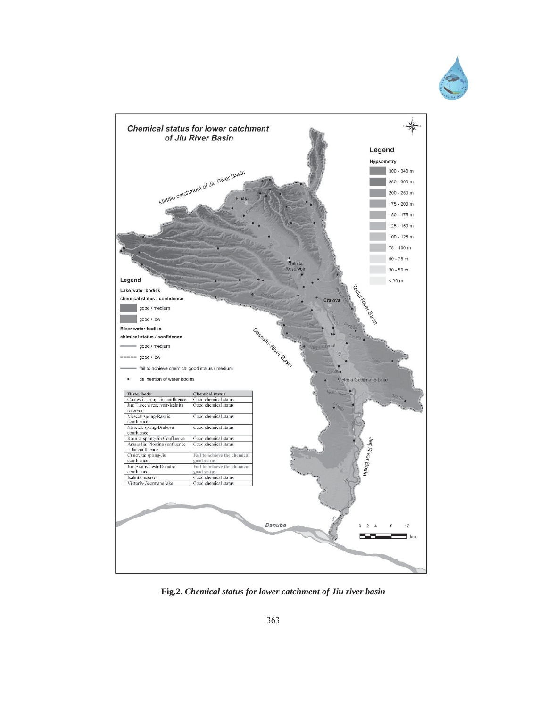



**Fig.2.** *Chemical status for lower catchment of Jiu river basin*